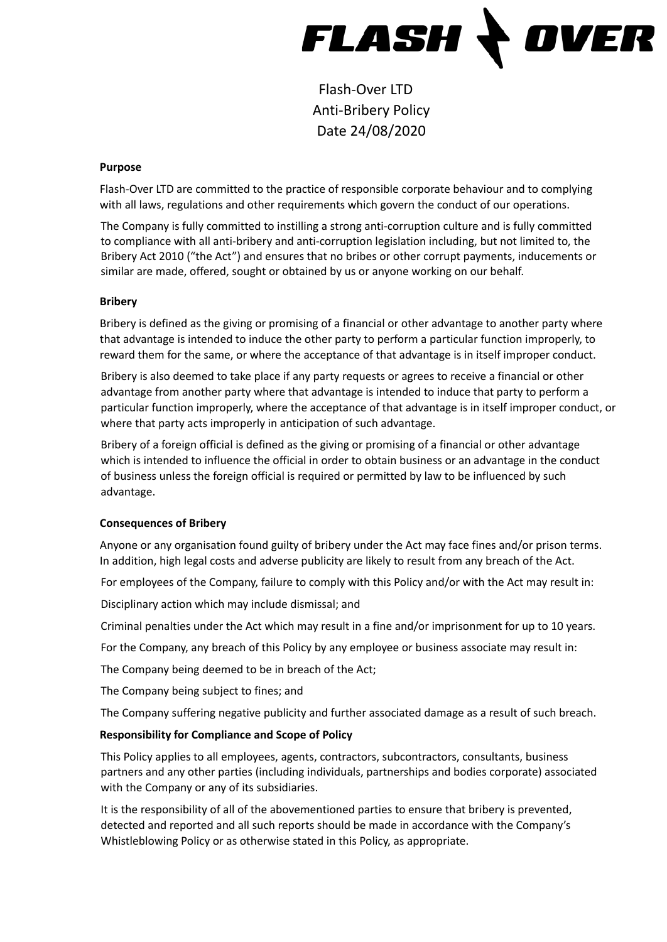

Flash-Over LTD Anti-Bribery Policy Date 24/08/2020

#### **Purpose**

Flash-Over LTD are committed to the practice of responsible corporate behaviour and to complying with all laws, regulations and other requirements which govern the conduct of our operations.

The Company is fully committed to instilling a strong anti-corruption culture and is fully committed to compliance with all anti-bribery and anti-corruption legislation including, but not limited to, the Bribery Act 2010 ("the Act") and ensures that no bribes or other corrupt payments, inducements or similar are made, offered, sought or obtained by us or anyone working on our behalf.

### **Bribery**

Bribery is defined as the giving or promising of a financial or other advantage to another party where that advantage is intended to induce the other party to perform a particular function improperly, to reward them for the same, or where the acceptance of that advantage is in itself improper conduct.

Bribery is also deemed to take place if any party requests or agrees to receive a financial or other advantage from another party where that advantage is intended to induce that party to perform a particular function improperly, where the acceptance of that advantage is in itself improper conduct, or where that party acts improperly in anticipation of such advantage.

Bribery of a foreign official is defined as the giving or promising of a financial or other advantage which is intended to influence the official in order to obtain business or an advantage in the conduct of business unless the foreign official is required or permitted by law to be influenced by such advantage.

## **Consequences of Bribery**

Anyone or any organisation found guilty of bribery under the Act may face fines and/or prison terms. In addition, high legal costs and adverse publicity are likely to result from any breach of the Act.

For employees of the Company, failure to comply with this Policy and/or with the Act may result in:

Disciplinary action which may include dismissal; and

Criminal penalties under the Act which may result in a fine and/or imprisonment for up to 10 years.

For the Company, any breach of this Policy by any employee or business associate may result in:

The Company being deemed to be in breach of the Act;

The Company being subject to fines; and

The Company suffering negative publicity and further associated damage as a result of such breach.

## **Responsibility for Compliance and Scope of Policy**

This Policy applies to all employees, agents, contractors, subcontractors, consultants, business partners and any other parties (including individuals, partnerships and bodies corporate) associated with the Company or any of its subsidiaries.

It is the responsibility of all of the abovementioned parties to ensure that bribery is prevented, detected and reported and all such reports should be made in accordance with the Company's Whistleblowing Policy or as otherwise stated in this Policy, as appropriate.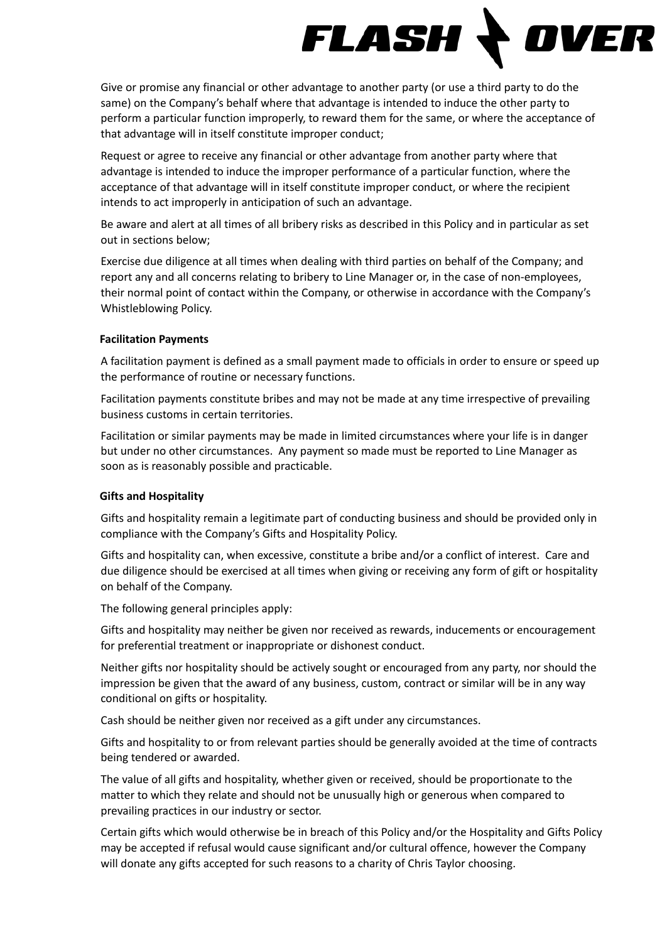

Give or promise any financial or other advantage to another party (or use a third party to do the same) on the Company's behalf where that advantage is intended to induce the other party to perform a particular function improperly, to reward them for the same, or where the acceptance of that advantage will in itself constitute improper conduct;

Request or agree to receive any financial or other advantage from another party where that advantage is intended to induce the improper performance of a particular function, where the acceptance of that advantage will in itself constitute improper conduct, or where the recipient intends to act improperly in anticipation of such an advantage.

Be aware and alert at all times of all bribery risks as described in this Policy and in particular as set out in sections below;

Exercise due diligence at all times when dealing with third parties on behalf of the Company; and report any and all concerns relating to bribery to Line Manager or, in the case of non-employees, their normal point of contact within the Company, or otherwise in accordance with the Company's Whistleblowing Policy.

### **Facilitation Payments**

A facilitation payment is defined as a small payment made to officials in order to ensure or speed up the performance of routine or necessary functions.

Facilitation payments constitute bribes and may not be made at any time irrespective of prevailing business customs in certain territories.

Facilitation or similar payments may be made in limited circumstances where your life is in danger but under no other circumstances. Any payment so made must be reported to Line Manager as soon as is reasonably possible and practicable.

## **Gifts and Hospitality**

Gifts and hospitality remain a legitimate part of conducting business and should be provided only in compliance with the Company's Gifts and Hospitality Policy.

Gifts and hospitality can, when excessive, constitute a bribe and/or a conflict of interest. Care and due diligence should be exercised at all times when giving or receiving any form of gift or hospitality on behalf of the Company.

The following general principles apply:

Gifts and hospitality may neither be given nor received as rewards, inducements or encouragement for preferential treatment or inappropriate or dishonest conduct.

Neither gifts nor hospitality should be actively sought or encouraged from any party, nor should the impression be given that the award of any business, custom, contract or similar will be in any way conditional on gifts or hospitality.

Cash should be neither given nor received as a gift under any circumstances.

Gifts and hospitality to or from relevant parties should be generally avoided at the time of contracts being tendered or awarded.

The value of all gifts and hospitality, whether given or received, should be proportionate to the matter to which they relate and should not be unusually high or generous when compared to prevailing practices in our industry or sector.

Certain gifts which would otherwise be in breach of this Policy and/or the Hospitality and Gifts Policy may be accepted if refusal would cause significant and/or cultural offence, however the Company will donate any gifts accepted for such reasons to a charity of Chris Taylor choosing.